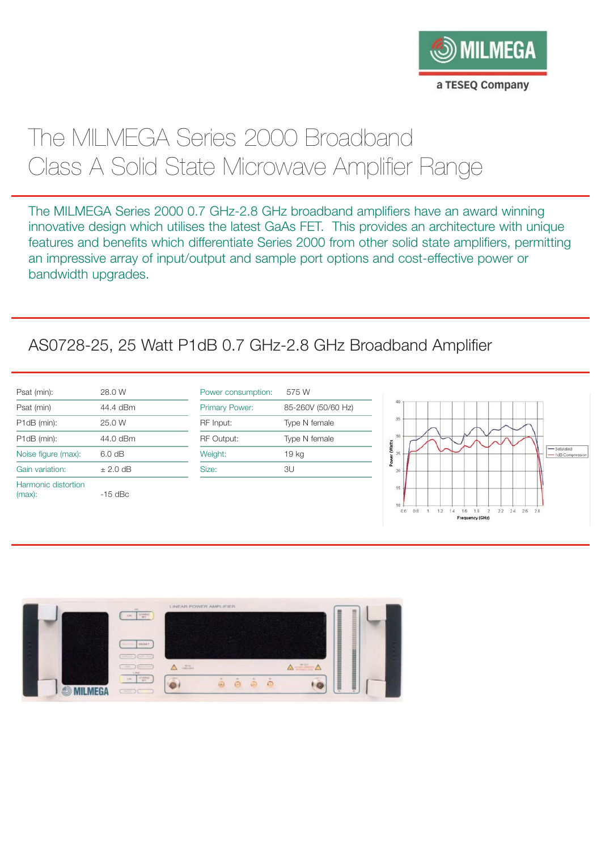

# The MILMEGA Series 2000 Broadband Class A Solid State Microwave Amplifier Range

The MILMEGA Series 2000 0.7 GHz-2.8 GHz broadband amplifiers have an award winning innovative design which utilises the latest GaAs FET. This provides an architecture with unique features and benefits which differentiate Series 2000 from other solid state amplifiers, permitting an impressive array of input/output and sample port options and cost-effective power or bandwidth upgrades.

# AS0728-25, 25 Watt P1dB 0.7 GHz-2.8 GHz Broadband Amplifier

| Psat (min):                   | 28.0 W     |
|-------------------------------|------------|
| Psat (min)                    | 44.4 dBm   |
| P1dB (min):                   | 25.0 W     |
| P1dB (min):                   | 44.0 dBm   |
| Noise figure (max):           | 6.0 dB     |
| Gain variation:               | $±$ 2.0 dB |
| Harmonic distortion<br>(max): | $-15$ dBc  |

| Power consumption: | 575 W              |
|--------------------|--------------------|
| Primary Power:     | 85-260V (50/60 Hz) |
| RF Input:          | Type N female      |
| <b>RF Output:</b>  | Type N female      |
| Weight:            | 19 kg              |
| Size:              | 3U                 |
|                    |                    |